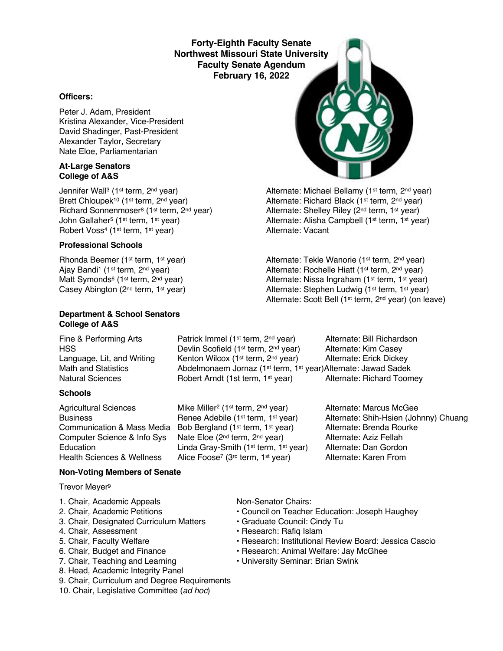**Forty-Eighth Faculty Senate Northwest Missouri State University Faculty Senate Agendum February 16, 2022**

### **Officers:**

Peter J. Adam, President Kristina Alexander, Vice-President David Shadinger, Past-President Alexander Taylor, Secretary Nate Eloe, Parliamentarian

#### **At-Large Senators College of A&S**

Jennifer Wall<sup>3</sup> (1<sup>st</sup> term, 2<sup>nd</sup> year) Alternate: Michael Bellamy (1<sup>st</sup> term, 2<sup>nd</sup> year) Brett Chloupek<sup>10</sup> (1<sup>st</sup> term, 2<sup>nd</sup> year) Alternate: Richard Black (1<sup>st</sup> term, 2<sup>nd</sup> year) Richard Sonnenmoser<sup>8</sup> (1<sup>st</sup> term, 2<sup>nd</sup> year) Alternate: Shelley Riley (2<sup>nd</sup> term, 1<sup>st</sup> year) John Gallaher<sup>5</sup> (1st term, 1st year) Alternate: Alisha Campbell (1st term, 1st year)<br>
Alternate: Vacant<br>
Alternate: Vacant Robert Voss<sup>4</sup> (1<sup>st</sup> term, 1<sup>st</sup> year)

### **Professional Schools**

Rhonda Beemer (1<sup>st</sup> term, 1<sup>st</sup> year) Alternate: Tekle Wanorie (1<sup>st</sup> term, 2<sup>nd</sup> year) Ajay Bandi<sup>1</sup> (1<sup>st</sup> term, 2<sup>nd</sup> year) Alternate: Rochelle Hiatt (1<sup>st</sup> term, 2<sup>nd</sup> year)

### **Department & School Senators College of A&S**

### **Schools**

Fine & Performing Arts **Patrick Immel (1st term, 2nd year)** Alternate: Bill Richardson HSS **EXECUTE:** Devlin Scofield (1<sup>st</sup> term, 2<sup>nd</sup> year) Alternate: Kim Casey Language, Lit, and Writing Kenton Wilcox (1<sup>st</sup> term, 2<sup>nd</sup> year) Alternate: Erick Dickey Math and Statistics **Abdelmonaem Jornaz (1st term, 1st year)Alternate: Jawad Sadek** Natural Sciences **Robert Arndt (1st term, 1st year)** Alternate: Richard Toomey

Agricultural Sciences Mike Miller<sup>2</sup> (1<sup>st</sup> term, 2<sup>nd</sup> year) Alternate: Marcus McGee Communication & Mass Media Bob Bergland (1st term, 1st year) Alternate: Brenda Rourke Computer Science & Info Sys Nate Eloe (2<sup>nd</sup> term, 2<sup>nd</sup> year) Alternate: Aziz Fellah<br>Education Linda Grav-Smith (1<sup>st</sup> term, 1<sup>st</sup> year) Alternate: Dan Gordon Education Linda Gray-Smith (1<sup>st</sup> term, 1<sup>st</sup> year) Alternate: Dan Gordon<br>Health Sciences & Wellness Alice Foose<sup>7</sup> (3<sup>rd</sup> term, 1<sup>st</sup> year) Alternate: Karen From Alice Foose<sup>7</sup> (3<sup>rd</sup> term, 1<sup>st</sup> year)

Business **Renee Adebile (1st term, 1st year)** Alternate: Shih-Hsien (Johnny) Chuang

### **Non-Voting Members of Senate**

Trevor Meyer9

- 1. Chair, Academic Appeals Non-Senator Chairs:
- 
- 3. Chair, Designated Curriculum Matters Graduate Council: Cindy Tu
- 
- 
- 
- 
- 8. Head, Academic Integrity Panel
- 9. Chair, Curriculum and Degree Requirements
- 10. Chair, Legislative Committee (*ad hoc*)

- 2. Chair, Academic Petitions Council on Teacher Education: Joseph Haughey
	-
- 4. Chair, Assessment **Francisco Exercise Research: Rafiq Islam**
- 5. Chair, Faculty Welfare  **Research: Institutional Review Board: Jessica Cascio**
- 6. Chair, Budget and Finance  **Research: Animal Welfare: Jay McGhee**
- 7. Chair, Teaching and Learning  **University Seminar: Brian Swink**



Matt Symonds<sup>6</sup> (1<sup>st</sup> term, 2<sup>nd</sup> year) <br>Casey Abington (2<sup>nd</sup> term, 1<sup>st</sup> year) <br>Alternate: Stephen Ludwig (1<sup>st</sup> term, 1<sup>st</sup> year) Alternate: Stephen Ludwig (1st term, 1st year) Alternate: Scott Bell (1st term, 2nd year) (on leave)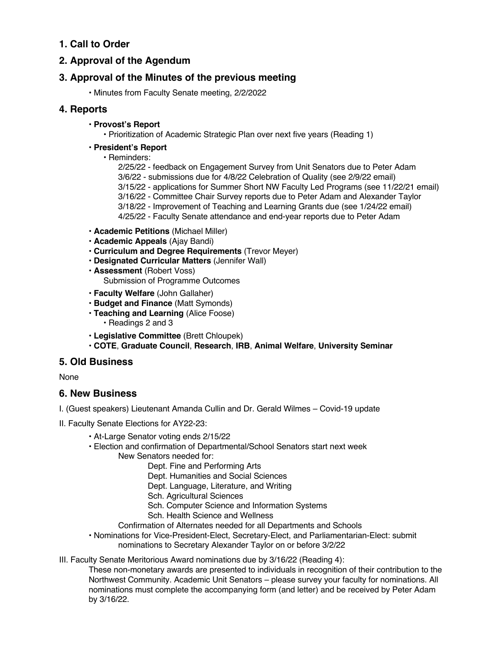# **1. Call to Order**

# **2. Approval of the Agendum**

# **3. Approval of the Minutes of the previous meeting**

• Minutes from Faculty Senate meeting, 2/2/2022

## **4. Reports**

- **Provost's Report**
	- Prioritization of Academic Strategic Plan over next five years (Reading 1)
- **President's Report**
	- Reminders:

2/25/22 - feedback on Engagement Survey from Unit Senators due to Peter Adam 3/6/22 - submissions due for 4/8/22 Celebration of Quality (see 2/9/22 email) 3/15/22 - applications for Summer Short NW Faculty Led Programs (see 11/22/21 email) 3/16/22 - Committee Chair Survey reports due to Peter Adam and Alexander Taylor 3/18/22 - Improvement of Teaching and Learning Grants due (see 1/24/22 email) 4/25/22 - Faculty Senate attendance and end-year reports due to Peter Adam

- **Academic Petitions** (Michael Miller)
- **Academic Appeals** (Ajay Bandi)
- **Curriculum and Degree Requirements** (Trevor Meyer)
- **Designated Curricular Matters** (Jennifer Wall)
- **Assessment** (Robert Voss) Submission of Programme Outcomes
- **Faculty Welfare** (John Gallaher)
- **Budget and Finance** (Matt Symonds)
- **Teaching and Learning** (Alice Foose) • Readings 2 and 3
- **Legislative Committee** (Brett Chloupek)
- **COTE**, **Graduate Council**, **Research**, **IRB**, **Animal Welfare**, **University Seminar**

## **5. Old Business**

None

## **6. New Business**

- I. (Guest speakers) Lieutenant Amanda Cullin and Dr. Gerald Wilmes Covid-19 update
- II. Faculty Senate Elections for AY22-23:
	- At-Large Senator voting ends 2/15/22
	- Election and confirmation of Departmental/School Senators start next week
		- New Senators needed for:
			- Dept. Fine and Performing Arts
			- Dept. Humanities and Social Sciences
			- Dept. Language, Literature, and Writing
			- Sch. Agricultural Sciences
			- Sch. Computer Science and Information Systems
			- Sch. Health Science and Wellness
			- Confirmation of Alternates needed for all Departments and Schools
	- Nominations for Vice-President-Elect, Secretary-Elect, and Parliamentarian-Elect: submit nominations to Secretary Alexander Taylor on or before 3/2/22
- III. Faculty Senate Meritorious Award nominations due by 3/16/22 (Reading 4):

These non-monetary awards are presented to individuals in recognition of their contribution to the Northwest Community. Academic Unit Senators – please survey your faculty for nominations. All nominations must complete the accompanying form (and letter) and be received by Peter Adam by 3/16/22.